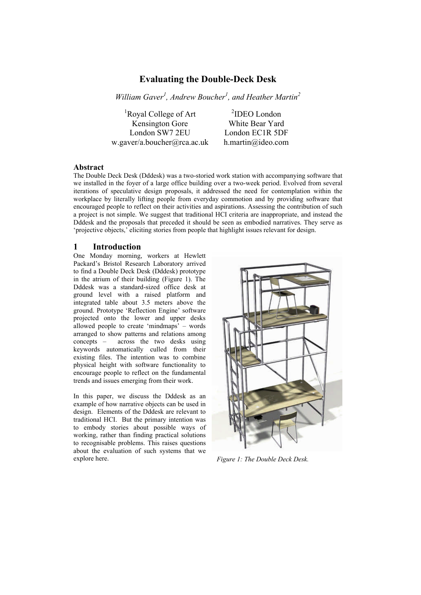# **Evaluating the Double-Deck Desk**

*William Gaver<sup>1</sup> , Andrew Boucher<sup>1</sup> , and Heather Martin<sup>2</sup>*

<sup>1</sup>Royal College of Art Kensington Gore White Bear Yard London SW7 2EU London EC1R 5DF w.gaver/a.boucher@rca.ac.uk h.martin@ideo.com

 ${}^{2}$ IDEO London

## **Abstract**

The Double Deck Desk (Dddesk) was a two-storied work station with accompanying software that we installed in the foyer of a large office building over a two-week period. Evolved from several iterations of speculative design proposals, it addressed the need for contemplation within the workplace by literally lifting people from everyday commotion and by providing software that encouraged people to reflect on their activities and aspirations. Assessing the contribution of such a project is not simple. We suggest that traditional HCI criteria are inappropriate, and instead the Dddesk and the proposals that preceded it should be seen as embodied narratives. They serve as 'projective objects,' eliciting stories from people that highlight issues relevant for design.

### **1 Introduction**

One Monday morning, workers at Hewlett Packard's Bristol Research Laboratory arrived to find a Double Deck Desk (Dddesk) prototype in the atrium of their building (Figure 1). The Dddesk was a standard-sized office desk at ground level with a raised platform and integrated table about 3.5 meters above the ground. Prototype 'Reflection Engine' software projected onto the lower and upper desks allowed people to create 'mindmaps' – words arranged to show patterns and relations among concepts – across the two desks using keywords automatically culled from their existing files. The intention was to combine physical height with software functionality to encourage people to reflect on the fundamental trends and issues emerging from their work.

In this paper, we discuss the Dddesk as an example of how narrative objects can be used in design. Elements of the Dddesk are relevant to traditional HCI. But the primary intention was to embody stories about possible ways of working, rather than finding practical solutions to recognisable problems. This raises questions about the evaluation of such systems that we explore here. *Figure 1: The Double Deck Desk.*

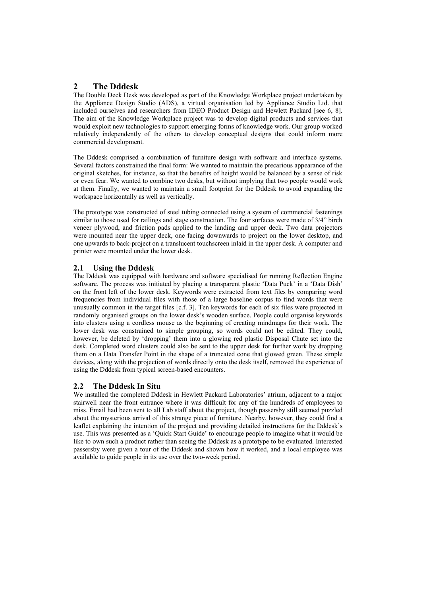# **2 The Dddesk**

The Double Deck Desk was developed as part of the Knowledge Workplace project undertaken by the Appliance Design Studio (ADS), a virtual organisation led by Appliance Studio Ltd. that included ourselves and researchers from IDEO Product Design and Hewlett Packard [see 6, 8]. The aim of the Knowledge Workplace project was to develop digital products and services that would exploit new technologies to support emerging forms of knowledge work. Our group worked relatively independently of the others to develop conceptual designs that could inform more commercial development.

The Dddesk comprised a combination of furniture design with software and interface systems. Several factors constrained the final form: We wanted to maintain the precarious appearance of the original sketches, for instance, so that the benefits of height would be balanced by a sense of risk or even fear. We wanted to combine two desks, but without implying that two people would work at them. Finally, we wanted to maintain a small footprint for the Dddesk to avoid expanding the workspace horizontally as well as vertically.

The prototype was constructed of steel tubing connected using a system of commercial fastenings similar to those used for railings and stage construction. The four surfaces were made of 3/4" birch veneer plywood, and friction pads applied to the landing and upper deck. Two data projectors were mounted near the upper deck, one facing downwards to project on the lower desktop, and one upwards to back-project on a translucent touchscreen inlaid in the upper desk. A computer and printer were mounted under the lower desk.

## **2.1 Using the Dddesk**

The Dddesk was equipped with hardware and software specialised for running Reflection Engine software. The process was initiated by placing a transparent plastic 'Data Puck' in a 'Data Dish' on the front left of the lower desk. Keywords were extracted from text files by comparing word frequencies from individual files with those of a large baseline corpus to find words that were unusually common in the target files [c.f. 3]. Ten keywords for each of six files were projected in randomly organised groups on the lower desk's wooden surface. People could organise keywords into clusters using a cordless mouse as the beginning of creating mindmaps for their work. The lower desk was constrained to simple grouping, so words could not be edited. They could, however, be deleted by 'dropping' them into a glowing red plastic Disposal Chute set into the desk. Completed word clusters could also be sent to the upper desk for further work by dropping them on a Data Transfer Point in the shape of a truncated cone that glowed green. These simple devices, along with the projection of words directly onto the desk itself, removed the experience of using the Dddesk from typical screen-based encounters.

### **2.2 The Dddesk In Situ**

We installed the completed Dddesk in Hewlett Packard Laboratories' atrium, adjacent to a major stairwell near the front entrance where it was difficult for any of the hundreds of employees to miss. Email had been sent to all Lab staff about the project, though passersby still seemed puzzled about the mysterious arrival of this strange piece of furniture. Nearby, however, they could find a leaflet explaining the intention of the project and providing detailed instructions for the Dddesk's use. This was presented as a 'Quick Start Guide' to encourage people to imagine what it would be like to own such a product rather than seeing the Dddesk as a prototype to be evaluated. Interested passersby were given a tour of the Dddesk and shown how it worked, and a local employee was available to guide people in its use over the two-week period.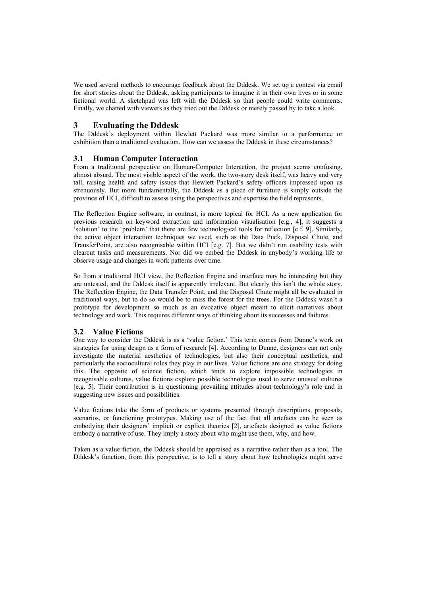We used several methods to encourage feedback about the Dddesk. We set up a contest via email for short stories about the Dddesk, asking participants to imagine it in their own lives or in some fictional world. A sketchpad was left with the Dddesk so that people could write comments. Finally, we chatted with viewers as they tried out the Dddesk or merely passed by to take a look.

## **3 Evaluating the Dddesk**

The Dddesk's deployment within Hewlett Packard was more similar to a performance or exhibition than a traditional evaluation. How can we assess the Dddesk in these circumstances?

#### **3.1 Human Computer Interaction**

From a traditional perspective on Human-Computer Interaction, the project seems confusing, almost absurd. The most visible aspect of the work, the two-story desk itself, was heavy and very tall, raising health and safety issues that Hewlett Packard's safety officers impressed upon us strenuously. But more fundamentally, the Dddesk as a piece of furniture is simply outside the province of HCI, difficult to assess using the perspectives and expertise the field represents.

The Reflection Engine software, in contrast, is more topical for HCI. As a new application for previous research on keyword extraction and information visualisation [e.g., 4], it suggests a 'solution' to the 'problem' that there are few technological tools for reflection [c.f. 9]. Similarly, the active object interaction techniques we used, such as the Data Puck, Disposal Chute, and TransferPoint, are also recognisable within HCI [e.g. 7]. But we didn't run usability tests with clearcut tasks and measurements. Nor did we embed the Dddesk in anybody's working life to observe usage and changes in work patterns over time.

So from a traditional HCI view, the Reflection Engine and interface may be interesting but they are untested, and the Dddesk itself is apparently irrelevant. But clearly this isn't the whole story. The Reflection Engine, the Data Transfer Point, and the Disposal Chute might all be evaluated in traditional ways, but to do so would be to miss the forest for the trees. For the Dddesk wasn't a prototype for development so much as an evocative object meant to elicit narratives about technology and work. This requires different ways of thinking about its successes and failures.

#### **3.2 Value Fictions**

One way to consider the Dddesk is as a 'value fiction.' This term comes from Dunne's work on strategies for using design as a form of research [4]. According to Dunne, designers can not only investigate the material aesthetics of technologies, but also their conceptual aesthetics, and particularly the sociocultural roles they play in our lives. Value fictions are one strategy for doing this. The opposite of science fiction, which tends to explore impossible technologies in recognisable cultures, value fictions explore possible technologies used to serve unusual cultures [e.g. 5]. Their contribution is in questioning prevailing attitudes about technology's role and in suggesting new issues and possibilities.

Value fictions take the form of products or systems presented through descriptions, proposals, scenarios, or functioning prototypes. Making use of the fact that all artefacts can be seen as embodying their designers' implicit or explicit theories [2], artefacts designed as value fictions embody a narrative of use. They imply a story about who might use them, why, and how.

Taken as a value fiction, the Dddesk should be appraised as a narrative rather than as a tool. The Dddesk's function, from this perspective, is to tell a story about how technologies might serve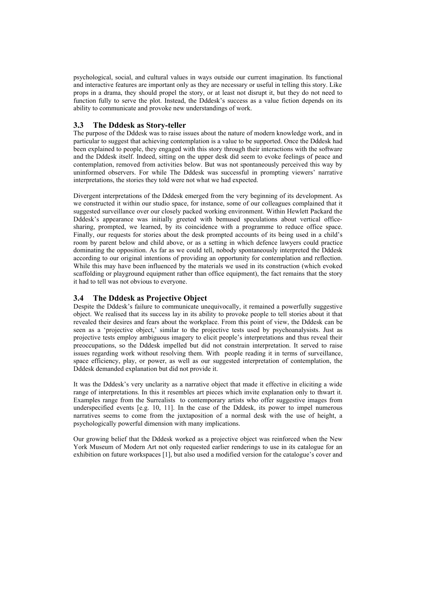psychological, social, and cultural values in ways outside our current imagination. Its functional and interactive features are important only as they are necessary or useful in telling this story. Like props in a drama, they should propel the story, or at least not disrupt it, but they do not need to function fully to serve the plot. Instead, the Dddesk's success as a value fiction depends on its ability to communicate and provoke new understandings of work.

### **3.3 The Dddesk as Story-teller**

The purpose of the Dddesk was to raise issues about the nature of modern knowledge work, and in particular to suggest that achieving contemplation is a value to be supported. Once the Dddesk had been explained to people, they engaged with this story through their interactions with the software and the Dddesk itself. Indeed, sitting on the upper desk did seem to evoke feelings of peace and contemplation, removed from activities below. But was not spontaneously perceived this way by uninformed observers. For while The Dddesk was successful in prompting viewers' narrative interpretations, the stories they told were not what we had expected.

Divergent interpretations of the Dddesk emerged from the very beginning of its development. As we constructed it within our studio space, for instance, some of our colleagues complained that it suggested surveillance over our closely packed working environment. Within Hewlett Packard the Dddesk's appearance was initially greeted with bemused speculations about vertical officesharing, prompted, we learned, by its coincidence with a programme to reduce office space. Finally, our requests for stories about the desk prompted accounts of its being used in a child's room by parent below and child above, or as a setting in which defence lawyers could practice dominating the opposition. As far as we could tell, nobody spontaneously interpreted the Dddesk according to our original intentions of providing an opportunity for contemplation and reflection. While this may have been influenced by the materials we used in its construction (which evoked scaffolding or playground equipment rather than office equipment), the fact remains that the story it had to tell was not obvious to everyone.

### **3.4 The Dddesk as Projective Object**

Despite the Dddesk's failure to communicate unequivocally, it remained a powerfully suggestive object. We realised that its success lay in its ability to provoke people to tell stories about it that revealed their desires and fears about the workplace. From this point of view, the Dddesk can be seen as a 'projective object,' similar to the projective tests used by psychoanalysists. Just as projective tests employ ambiguous imagery to elicit people's interpretations and thus reveal their preoccupations, so the Dddesk impelled but did not constrain interpretation. It served to raise issues regarding work without resolving them. With people reading it in terms of surveillance, space efficiency, play, or power, as well as our suggested interpretation of contemplation, the Dddesk demanded explanation but did not provide it.

It was the Dddesk's very unclarity as a narrative object that made it effective in eliciting a wide range of interpretations. In this it resembles art pieces which invite explanation only to thwart it. Examples range from the Surrealists to contemporary artists who offer suggestive images from underspecified events [e.g. 10, 11]. In the case of the Dddesk, its power to impel numerous narratives seems to come from the juxtaposition of a normal desk with the use of height, a psychologically powerful dimension with many implications.

Our growing belief that the Dddesk worked as a projective object was reinforced when the New York Museum of Modern Art not only requested earlier renderings to use in its catalogue for an exhibition on future workspaces [1], but also used a modified version for the catalogue's cover and